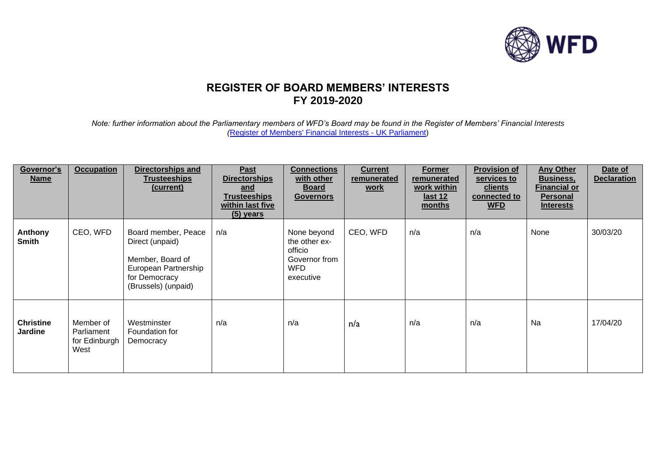

## **REGISTER OF BOARD MEMBERS' INTERESTS FY 2019-2020**

*Note: further information about the Parliamentary members of WFD's Board may be found in the Register of Members' Financial Interests (*[Register of Members' Financial Interests -](https://www.parliament.uk/mps-lords-and-offices/standards-and-financial-interests/parliamentary-commissioner-for-standards/registers-of-interests/register-of-members-financial-interests/) UK Parliament)

| Governor's<br><b>Name</b>          | <b>Occupation</b>                                | <b>Directorships and</b><br><b>Trusteeships</b><br>(current)                                                               | Past<br><b>Directorships</b><br>and<br><b>Trusteeships</b><br>within last five<br>$(5)$ years | <b>Connections</b><br>with other<br><u>Board</u><br><b>Governors</b>                | <b>Current</b><br>remunerated<br><u>work</u> | <b>Former</b><br>remunerated<br>work within<br><u>last 12</u><br>months | <b>Provision of</b><br>services to<br><u>clients</u><br>connected to<br><b>WFD</b> | <b>Any Other</b><br><b>Business,</b><br><u>Financial or</u><br><b>Personal</b><br><b>Interests</b> | Date of<br><b>Declaration</b> |
|------------------------------------|--------------------------------------------------|----------------------------------------------------------------------------------------------------------------------------|-----------------------------------------------------------------------------------------------|-------------------------------------------------------------------------------------|----------------------------------------------|-------------------------------------------------------------------------|------------------------------------------------------------------------------------|----------------------------------------------------------------------------------------------------|-------------------------------|
| Anthony<br><b>Smith</b>            | CEO, WFD                                         | Board member, Peace<br>Direct (unpaid)<br>Member, Board of<br>European Partnership<br>for Democracy<br>(Brussels) (unpaid) | n/a                                                                                           | None beyond<br>the other ex-<br>officio<br>Governor from<br><b>WFD</b><br>executive | CEO, WFD                                     | n/a                                                                     | n/a                                                                                | None                                                                                               | 30/03/20                      |
| <b>Christine</b><br><b>Jardine</b> | Member of<br>Parliament<br>for Edinburgh<br>West | Westminster<br>Foundation for<br>Democracy                                                                                 | n/a                                                                                           | n/a                                                                                 | n/a                                          | n/a                                                                     | n/a                                                                                | Na                                                                                                 | 17/04/20                      |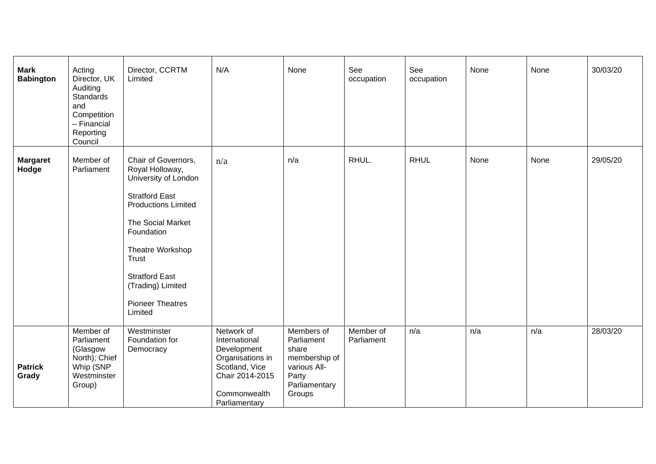| <b>Mark</b><br><b>Babington</b> | Acting<br>Director, UK<br>Auditing<br><b>Standards</b><br>and<br>Competition<br>- Financial<br>Reporting<br>Council | Director, CCRTM<br>Limited                                                                                                                                                                                                                                                | N/A                                                                                                                                  | None                                                                                                   | See<br>occupation       | See<br>occupation | None | None | 30/03/20 |
|---------------------------------|---------------------------------------------------------------------------------------------------------------------|---------------------------------------------------------------------------------------------------------------------------------------------------------------------------------------------------------------------------------------------------------------------------|--------------------------------------------------------------------------------------------------------------------------------------|--------------------------------------------------------------------------------------------------------|-------------------------|-------------------|------|------|----------|
| <b>Margaret</b><br>Hodge        | Member of<br>Parliament                                                                                             | Chair of Governors,<br>Royal Holloway,<br>University of London<br><b>Stratford East</b><br><b>Productions Limited</b><br>The Social Market<br>Foundation<br>Theatre Workshop<br>Trust<br><b>Stratford East</b><br>(Trading) Limited<br><b>Pioneer Theatres</b><br>Limited | n/a                                                                                                                                  | n/a                                                                                                    | RHUL.                   | <b>RHUL</b>       | None | None | 29/05/20 |
| <b>Patrick</b><br>Grady         | Member of<br>Parliament<br>(Glasgow<br>North); Chief<br>Whip (SNP<br>Westminster<br>Group)                          | Westminster<br>Foundation for<br>Democracy                                                                                                                                                                                                                                | Network of<br>International<br>Development<br>Organisations in<br>Scotland, Vice<br>Chair 2014-2015<br>Commonwealth<br>Parliamentary | Members of<br>Parliament<br>share<br>membership of<br>various All-<br>Party<br>Parliamentary<br>Groups | Member of<br>Parliament | n/a               | n/a  | n/a  | 28/03/20 |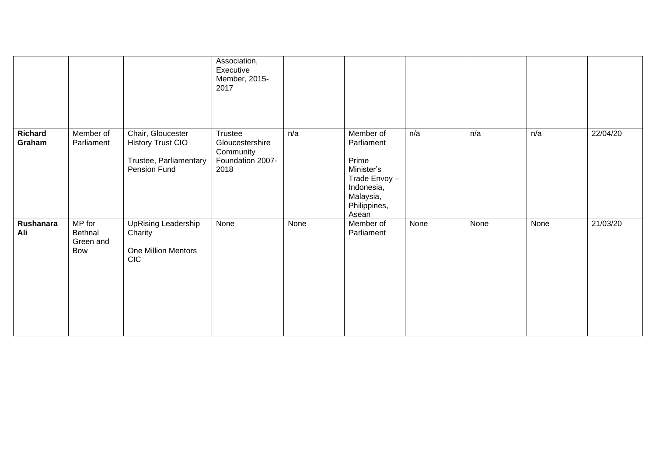|                          |                                       |                                                                                         | Association,<br>Executive<br>Member, 2015-<br>2017                  |      |                                                                                                                    |      |      |      |          |
|--------------------------|---------------------------------------|-----------------------------------------------------------------------------------------|---------------------------------------------------------------------|------|--------------------------------------------------------------------------------------------------------------------|------|------|------|----------|
| <b>Richard</b><br>Graham | Member of<br>Parliament               | Chair, Gloucester<br><b>History Trust CIO</b><br>Trustee, Parliamentary<br>Pension Fund | Trustee<br>Gloucestershire<br>Community<br>Foundation 2007-<br>2018 | n/a  | Member of<br>Parliament<br>Prime<br>Minister's<br>Trade Envoy-<br>Indonesia,<br>Malaysia,<br>Philippines,<br>Asean | n/a  | n/a  | n/a  | 22/04/20 |
| Rushanara<br>Ali         | MP for<br>Bethnal<br>Green and<br>Bow | <b>UpRising Leadership</b><br>Charity<br>One Million Mentors<br><b>CIC</b>              | None                                                                | None | Member of<br>Parliament                                                                                            | None | None | None | 21/03/20 |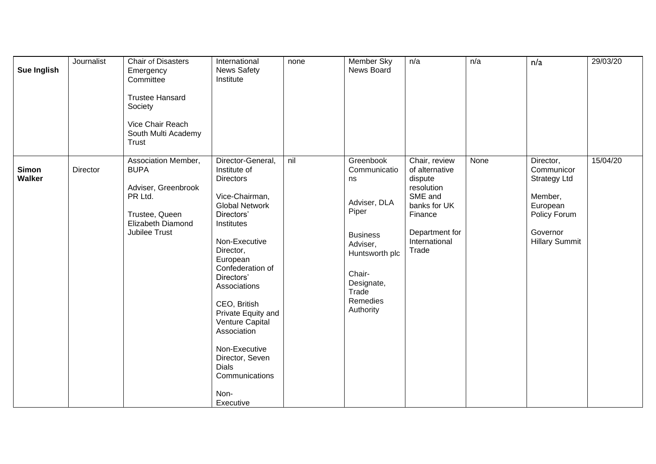| Sue Inglish            | Journalist | Chair of Disasters<br>Emergency<br>Committee<br><b>Trustee Hansard</b><br>Society<br>Vice Chair Reach<br>South Multi Academy<br>Trust | International<br><b>News Safety</b><br>Institute                                                                                                                                                                                                                                                                                                                                     | none | Member Sky<br>News Board                                                                                                                                            | n/a                                                                                                                                        | n/a  | n/a                                                                                                                        | 29/03/20 |
|------------------------|------------|---------------------------------------------------------------------------------------------------------------------------------------|--------------------------------------------------------------------------------------------------------------------------------------------------------------------------------------------------------------------------------------------------------------------------------------------------------------------------------------------------------------------------------------|------|---------------------------------------------------------------------------------------------------------------------------------------------------------------------|--------------------------------------------------------------------------------------------------------------------------------------------|------|----------------------------------------------------------------------------------------------------------------------------|----------|
| <b>Simon</b><br>Walker | Director   | Association Member,<br><b>BUPA</b><br>Adviser, Greenbrook<br>PR Ltd.<br>Trustee, Queen<br>Elizabeth Diamond<br>Jubilee Trust          | Director-General,<br>Institute of<br>Directors<br>Vice-Chairman,<br><b>Global Network</b><br>Directors'<br>Institutes<br>Non-Executive<br>Director,<br>European<br>Confederation of<br>Directors'<br>Associations<br>CEO, British<br>Private Equity and<br>Venture Capital<br>Association<br>Non-Executive<br>Director, Seven<br><b>Dials</b><br>Communications<br>Non-<br>Executive | nil  | Greenbook<br>Communicatio<br>ns<br>Adviser, DLA<br>Piper<br><b>Business</b><br>Adviser,<br>Huntsworth plc<br>Chair-<br>Designate,<br>Trade<br>Remedies<br>Authority | Chair, review<br>of alternative<br>dispute<br>resolution<br>SME and<br>banks for UK<br>Finance<br>Department for<br>International<br>Trade | None | Director,<br>Communicor<br><b>Strategy Ltd</b><br>Member,<br>European<br>Policy Forum<br>Governor<br><b>Hillary Summit</b> | 15/04/20 |